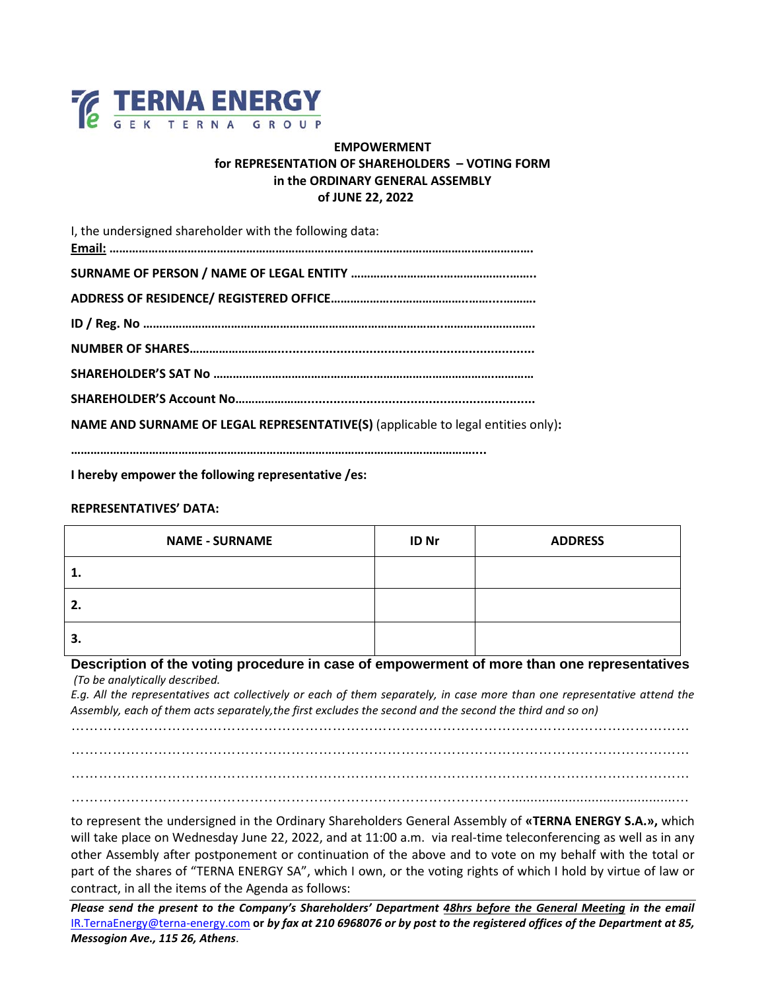

## **EMPOWERMENT for REPRESENTATION OF SHAREHOLDERS – VOTING FORM in the ORDINARY GENERAL ASSEMBLY of JUNE 22, 2022**

| I, the undersigned shareholder with the following data:                          |
|----------------------------------------------------------------------------------|
|                                                                                  |
|                                                                                  |
|                                                                                  |
|                                                                                  |
|                                                                                  |
|                                                                                  |
| NAME AND SURNAME OF LEGAL REPRESENTATIVE(S) (applicable to legal entities only): |
|                                                                                  |

**I hereby empower the following representative /es:**

## **REPRESENTATIVES' DATA:**

| <b>NAME - SURNAME</b> | <b>ID Nr</b> | <b>ADDRESS</b> |
|-----------------------|--------------|----------------|
| 1.                    |              |                |
| 2.                    |              |                |
| З.                    |              |                |

## **Description of the voting procedure in case of empowerment of more than one representatives** *(To be analytically described.*

*E.g. All the representatives act collectively or each of them separately, in case more than one representative attend the Assembly, each of them acts separately,the first excludes the second and the second the third and so on)*

………………………………………………………………………………………………………………………

……………………………………………………………………………………………………………………… ………………………………………………………………………………………………………………………

……………………………………………………………………………………...........................................…

to represent the undersigned in the Ordinary Shareholders General Assembly of **«TERNA ENERGY S.A.»,** which will take place on Wednesday June 22, 2022, and at 11:00 a.m.via real-time teleconferencing as well as in any other Assembly after postponement or continuation of the above and to vote on my behalf with the total or part of the shares of "TERNA ENERGY SA", which I own, or the voting rights of which I hold by virtue of law or contract, in all the items of the Agenda as follows:

*Please send the present to the Company's Shareholders' Department 48hrs before the General Meeting in the email*  [IR.TernaEnergy@terna-energy.com](mailto:IR.TernaEnergy@terna-energy.com) **or** *by fax at 210 6968076 or by post to the registered offices of the Department at 85, Messogion Ave., 115 26, Athens*.